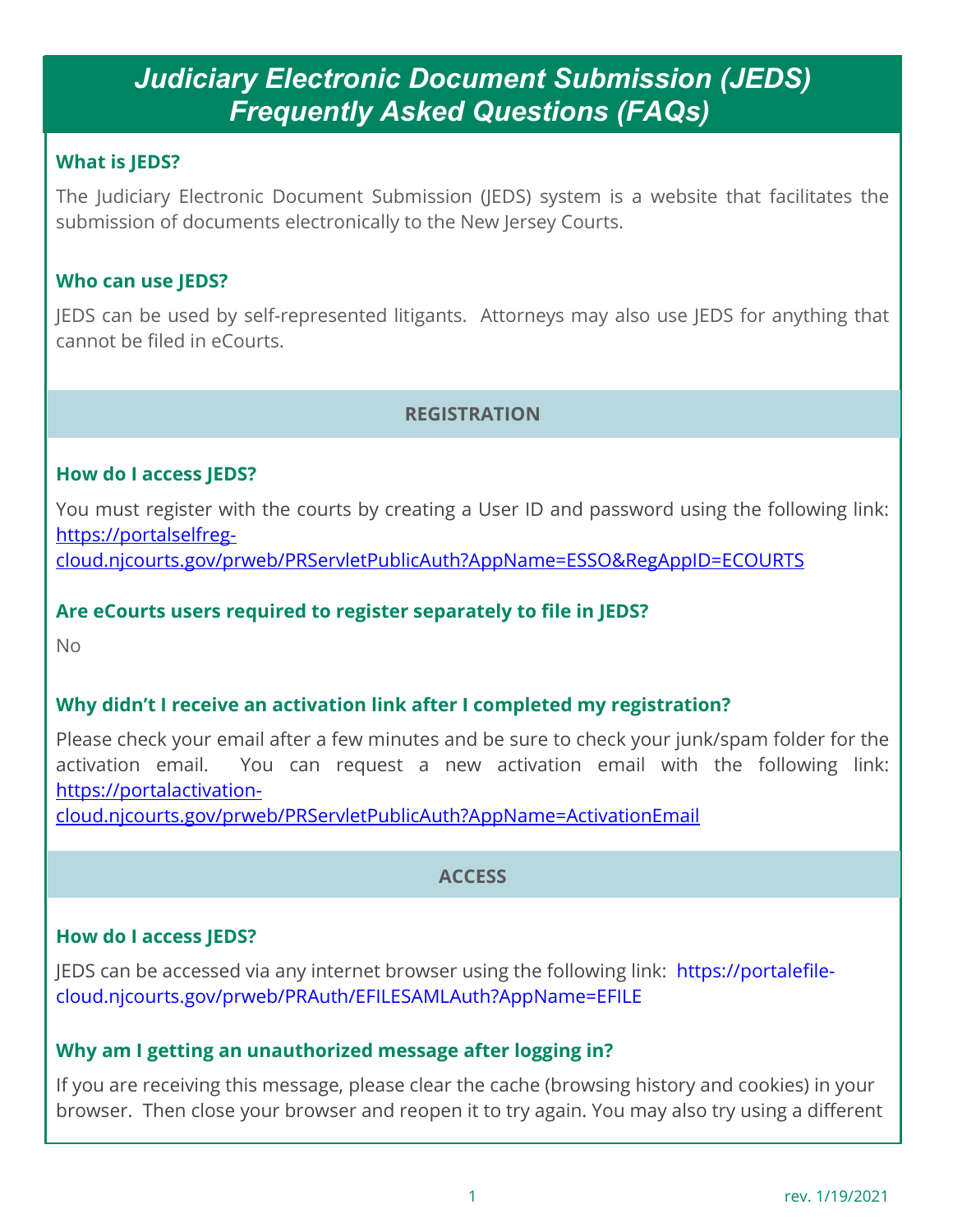### **What is JEDS?**

The Judiciary Electronic Document Submission (JEDS) system is a website that facilitates the submission of documents electronically to the New Jersey Courts.

#### **Who can use JEDS?**

JEDS can be used by self-represented litigants. Attorneys may also use JEDS for anything that cannot be filed in eCourts.

# **REGISTRATION**

#### **How do I access JEDS?**

You must register with the courts by creating a User ID and password using the following link: [https://portalselfreg-](https://portalselfreg-cloud.njcourts.gov/prweb/PRServletPublicAuth?AppName=ESSO&RegAppID=ECOURTS)

[cloud.njcourts.gov/prweb/PRServletPublicAuth?AppName=ESSO&RegAppID=ECOURTS](https://portalselfreg-cloud.njcourts.gov/prweb/PRServletPublicAuth?AppName=ESSO&RegAppID=ECOURTS)

#### **Are eCourts users required to register separately to file in JEDS?**

 $N<sub>0</sub>$ 

### **Why didn't I receive an activation link after I completed my registration?**

Please check your email after a few minutes and be sure to check your junk/spam folder for the activation email. You can request a new activation email with the following link: [https://portalactivation-](https://portalactivation-cloud.njcourts.gov/prweb/PRServletPublicAuth?AppName=ActivationEmail)

[cloud.njcourts.gov/prweb/PRServletPublicAuth?AppName=ActivationEmail](https://portalactivation-cloud.njcourts.gov/prweb/PRServletPublicAuth?AppName=ActivationEmail)

#### **ACCESS**

### **How do I access JEDS?**

JEDS can be accessed via any internet browser using the following link: [https://portalefile](https://portalefile-cloud.njcourts.gov/prweb/PRAuth/EFILESAMLAuth?AppName=EFILE)[cloud.njcourts.gov/prweb/PRAuth/EFILESAMLAuth?AppName=EFILE](https://portalefile-cloud.njcourts.gov/prweb/PRAuth/EFILESAMLAuth?AppName=EFILE)

### **Why am I getting an unauthorized message after logging in?**

If you are receiving this message, please clear the cache (browsing history and cookies) in your browser. Then close your browser and reopen it to try again. You may also try using a different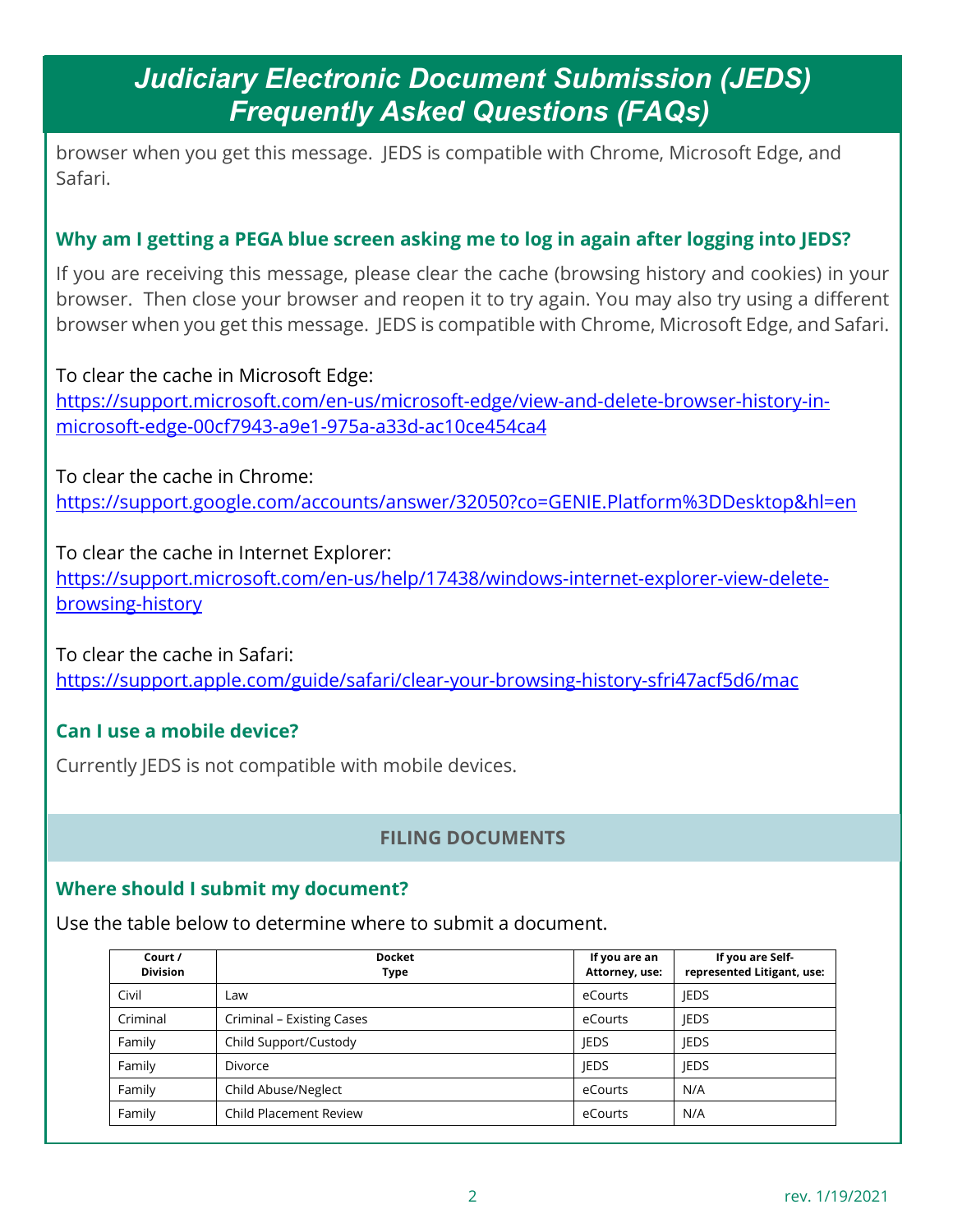browser when you get this message. JEDS is compatible with Chrome, Microsoft Edge, and Safari.

## **Why am I getting a PEGA blue screen asking me to log in again after logging into JEDS?**

If you are receiving this message, please clear the cache (browsing history and cookies) in your browser. Then close your browser and reopen it to try again. You may also try using a different browser when you get this message. JEDS is compatible with Chrome, Microsoft Edge, and Safari.

To clear the cache in Microsoft Edge: [https://support.microsoft.com/en-us/microsoft-edge/view-and-delete-browser-history-in](https://support.microsoft.com/en-us/microsoft-edge/view-and-delete-browser-history-in-microsoft-edge-00cf7943-a9e1-975a-a33d-ac10ce454ca4)[microsoft-edge-00cf7943-a9e1-975a-a33d-ac10ce454ca4](https://support.microsoft.com/en-us/microsoft-edge/view-and-delete-browser-history-in-microsoft-edge-00cf7943-a9e1-975a-a33d-ac10ce454ca4)

To clear the cache in Chrome: <https://support.google.com/accounts/answer/32050?co=GENIE.Platform%3DDesktop&hl=en>

To clear the cache in Internet Explorer: [https://support.microsoft.com/en-us/help/17438/windows-internet-explorer-view-delete](https://support.microsoft.com/en-us/help/17438/windows-internet-explorer-view-delete-browsing-history)[browsing-history](https://support.microsoft.com/en-us/help/17438/windows-internet-explorer-view-delete-browsing-history)

To clear the cache in Safari: <https://support.apple.com/guide/safari/clear-your-browsing-history-sfri47acf5d6/mac>

# **Can I use a mobile device?**

Currently JEDS is not compatible with mobile devices.

# **FILING DOCUMENTS**

# **Where should I submit my document?**

Use the table below to determine where to submit a document.

| Court /<br><b>Division</b> | <b>Docket</b><br>Type         | If you are an<br>Attorney, use: | If you are Self-<br>represented Litigant, use: |
|----------------------------|-------------------------------|---------------------------------|------------------------------------------------|
| Civil                      | Law                           | eCourts                         | <b>IEDS</b>                                    |
| Criminal                   | Criminal - Existing Cases     | eCourts                         | <b>IEDS</b>                                    |
| Family                     | Child Support/Custody         | <b>IEDS</b>                     | <b>IEDS</b>                                    |
| Family                     | <b>Divorce</b>                | <b>IEDS</b>                     | <b>IEDS</b>                                    |
| Family                     | Child Abuse/Neglect           | eCourts                         | N/A                                            |
| Family                     | <b>Child Placement Review</b> | eCourts                         | N/A                                            |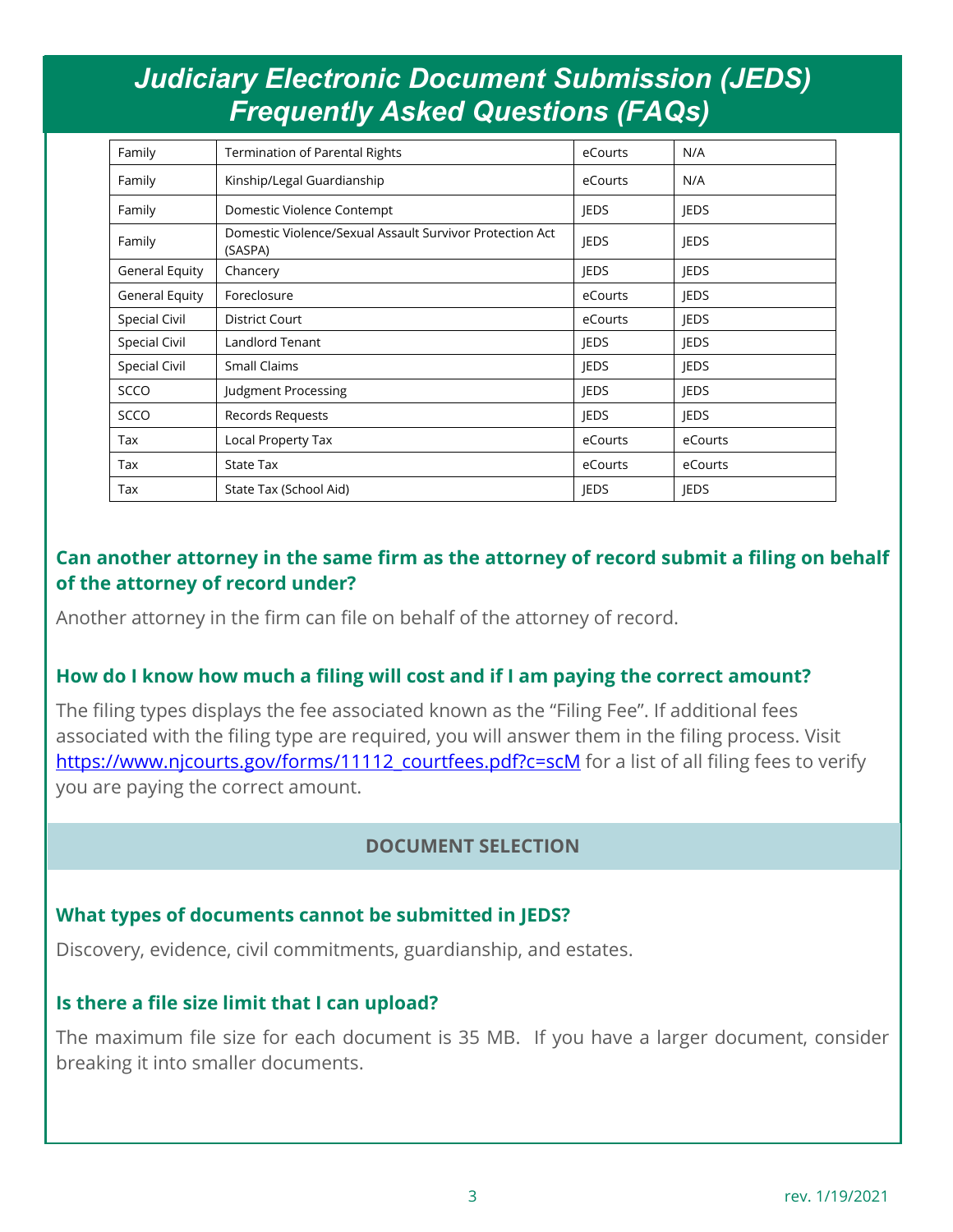| Family         | <b>Termination of Parental Rights</b>                               | eCourts     | N/A         |
|----------------|---------------------------------------------------------------------|-------------|-------------|
| Family         | Kinship/Legal Guardianship                                          | eCourts     | N/A         |
| Family         | Domestic Violence Contempt                                          | <b>JEDS</b> | <b>JEDS</b> |
| Family         | Domestic Violence/Sexual Assault Survivor Protection Act<br>(SASPA) | <b>JEDS</b> | <b>JEDS</b> |
| General Equity | Chancery                                                            | <b>IEDS</b> | <b>JEDS</b> |
| General Equity | Foreclosure                                                         | eCourts     | <b>JEDS</b> |
| Special Civil  | District Court                                                      | eCourts     | <b>JEDS</b> |
| Special Civil  | Landlord Tenant                                                     | <b>IEDS</b> | <b>IEDS</b> |
| Special Civil  | <b>Small Claims</b>                                                 | <b>JEDS</b> | <b>JEDS</b> |
| <b>SCCO</b>    | Judgment Processing                                                 | <b>JEDS</b> | <b>JEDS</b> |
| <b>SCCO</b>    | Records Requests                                                    | <b>JEDS</b> | <b>JEDS</b> |
| Tax            | Local Property Tax                                                  | eCourts     | eCourts     |
| Tax            | <b>State Tax</b>                                                    | eCourts     | eCourts     |
| Tax            | State Tax (School Aid)                                              | <b>JEDS</b> | <b>JEDS</b> |

# **Can another attorney in the same firm as the attorney of record submit a filing on behalf of the attorney of record under?**

Another attorney in the firm can file on behalf of the attorney of record.

#### **How do I know how much a filing will cost and if I am paying the correct amount?**

The filing types displays the fee associated known as the "Filing Fee". If additional fees associated with the filing type are required, you will answer them in the filing process. Visit [https://www.njcourts.gov/forms/11112\\_courtfees.pdf?c=scM](https://www.njcourts.gov/forms/11112_courtfees.pdf?c=scM) for a list of all filing fees to verify you are paying the correct amount.

### **DOCUMENT SELECTION**

#### **What types of documents cannot be submitted in JEDS?**

Discovery, evidence, civil commitments, guardianship, and estates.

#### **Is there a file size limit that I can upload?**

The maximum file size for each document is 35 MB. If you have a larger document, consider breaking it into smaller documents.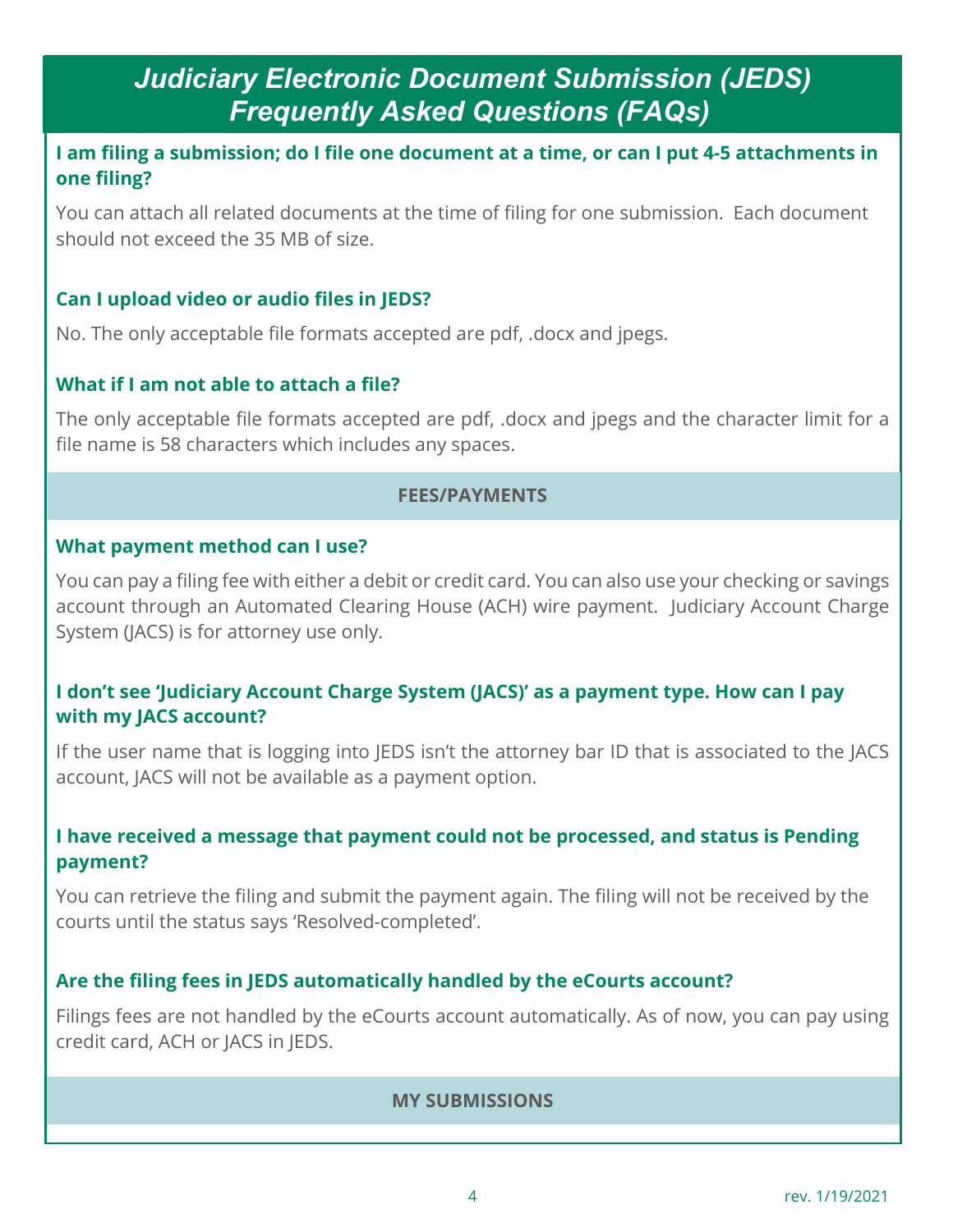### **I am filing a submission; do I file one document at a time, or can I put 4-5 attachments in one filing?**

You can attach all related documents at the time of filing for one submission. Each document should not exceed the 35 MB of size.

## **Can I upload video or audio files in JEDS?**

No. The only acceptable file formats accepted are pdf, .docx and jpegs.

## **What if I am not able to attach a file?**

The only acceptable file formats accepted are pdf, .docx and jpegs and the character limit for a file name is 58 characters which includes any spaces.

#### **FEES/PAYMENTS**

#### **What payment method can I use?**

You can pay a filing fee with either a debit or credit card. You can also use your checking or savings account through an Automated Clearing House (ACH) wire payment. Judiciary Account Charge System (JACS) is for attorney use only.

## **I don't see 'Judiciary Account Charge System (JACS)' as a payment type. How can I pay with my JACS account?**

If the user name that is logging into JEDS isn't the attorney bar ID that is associated to the JACS account, JACS will not be available as a payment option.

### **I have received a message that payment could not be processed, and status is Pending payment?**

You can retrieve the filing and submit the payment again. The filing will not be received by the courts until the status says 'Resolved-completed'.

# **Are the filing fees in JEDS automatically handled by the eCourts account?**

Filings fees are not handled by the eCourts account automatically. As of now, you can pay using credit card, ACH or JACS in JEDS.

### **MY SUBMISSIONS**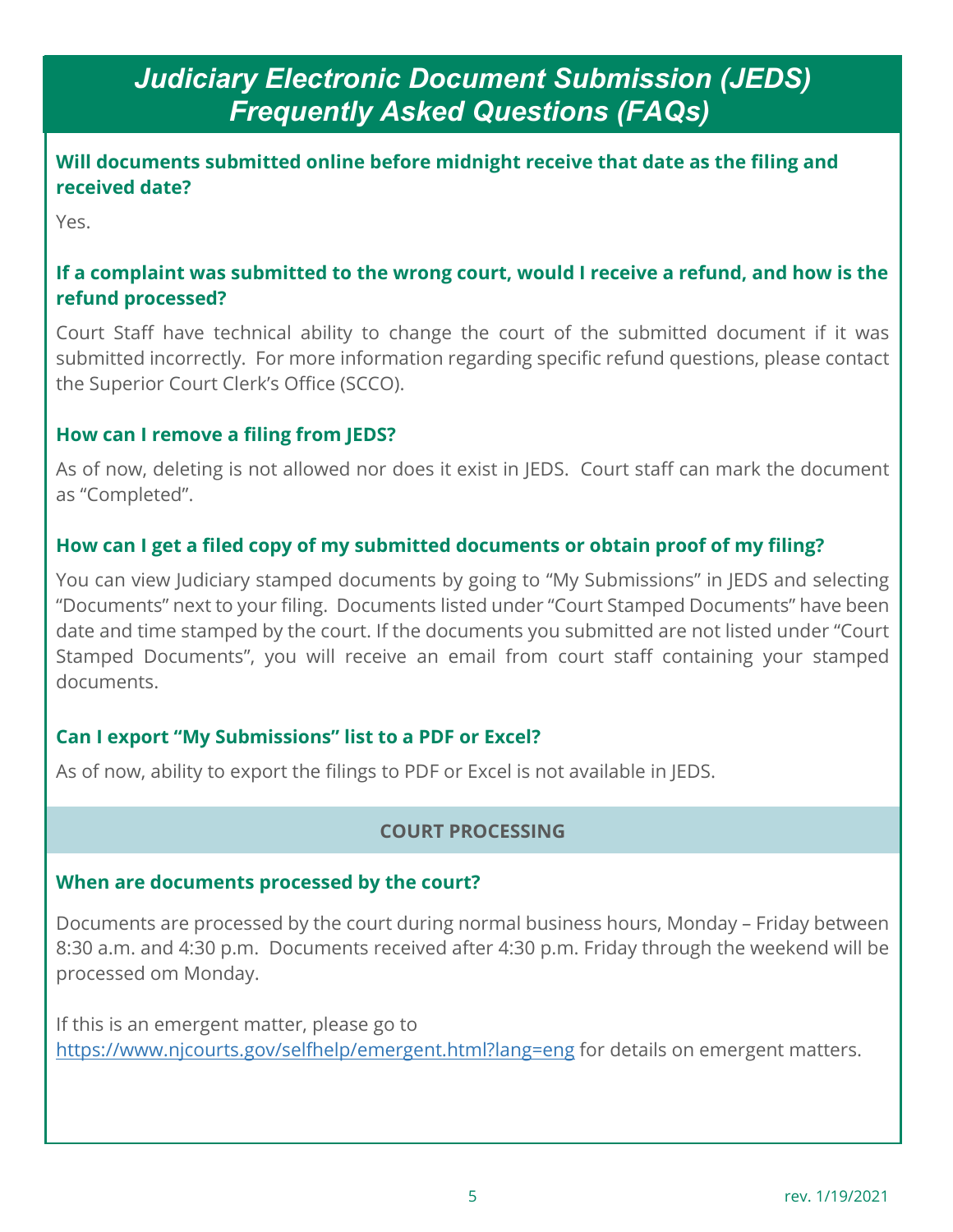## **Will documents submitted online before midnight receive that date as the filing and received date?**

Yes.

# **If a complaint was submitted to the wrong court, would I receive a refund, and how is the refund processed?**

Court Staff have technical ability to change the court of the submitted document if it was submitted incorrectly. For more information regarding specific refund questions, please contact the Superior Court Clerk's Office (SCCO).

# **How can I remove a filing from JEDS?**

As of now, deleting is not allowed nor does it exist in JEDS. Court staff can mark the document as "Completed".

# **How can I get a filed copy of my submitted documents or obtain proof of my filing?**

You can view Judiciary stamped documents by going to "My Submissions" in JEDS and selecting "Documents" next to your filing. Documents listed under "Court Stamped Documents" have been date and time stamped by the court. If the documents you submitted are not listed under "Court Stamped Documents", you will receive an email from court staff containing your stamped documents.

# **Can I export "My Submissions" list to a PDF or Excel?**

As of now, ability to export the filings to PDF or Excel is not available in JEDS.

# **COURT PROCESSING**

### **When are documents processed by the court?**

Documents are processed by the court during normal business hours, Monday – Friday between 8:30 a.m. and 4:30 p.m. Documents received after 4:30 p.m. Friday through the weekend will be processed om Monday.

If this is an emergent matter, please go to <https://www.njcourts.gov/selfhelp/emergent.html?lang=eng> for details on emergent matters.